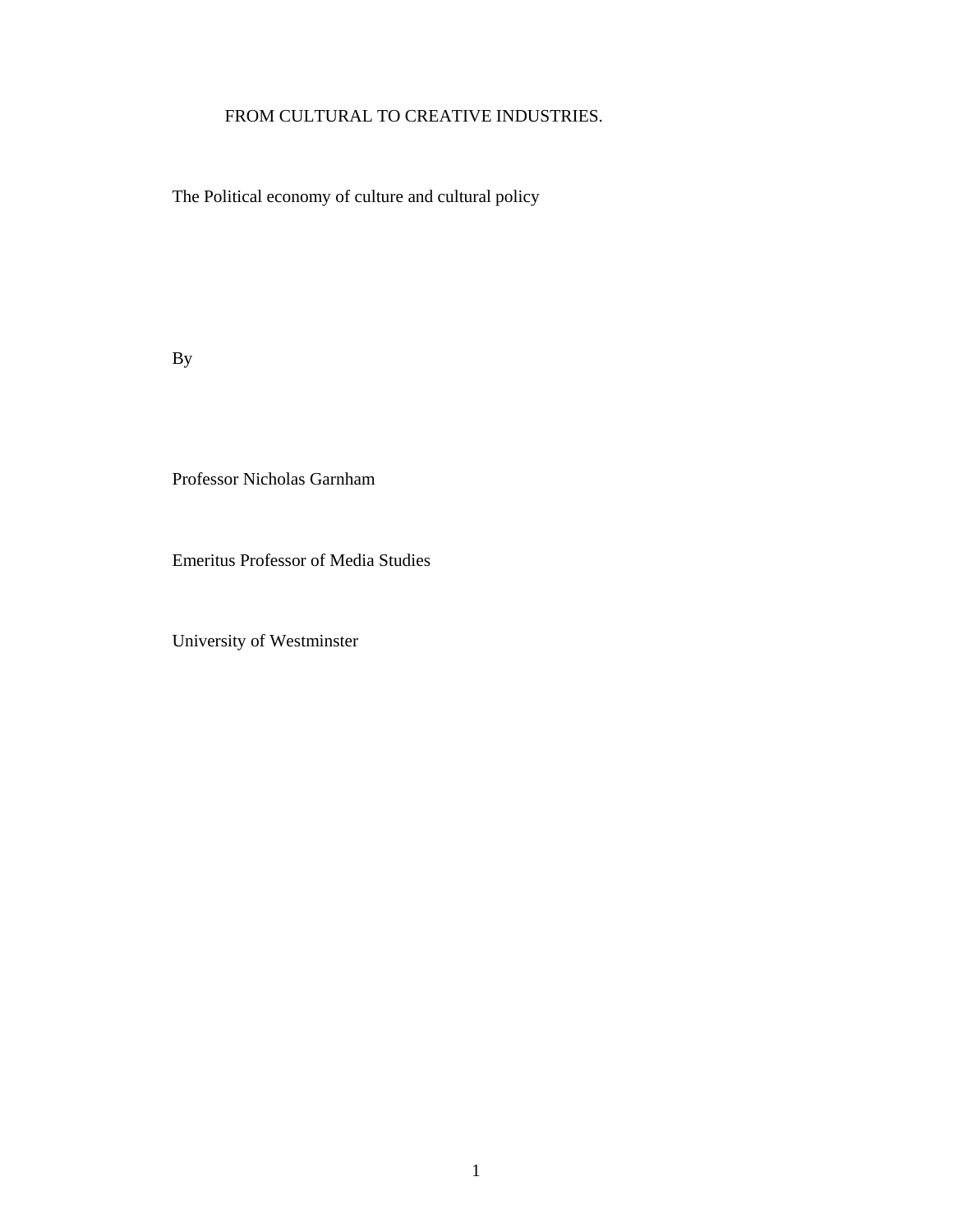## FROM CULTURAL TO CREATIVE INDUSTRIES.

The Political economy of culture and cultural policy

By

Professor Nicholas Garnham

Emeritus Professor of Media Studies

University of Westminster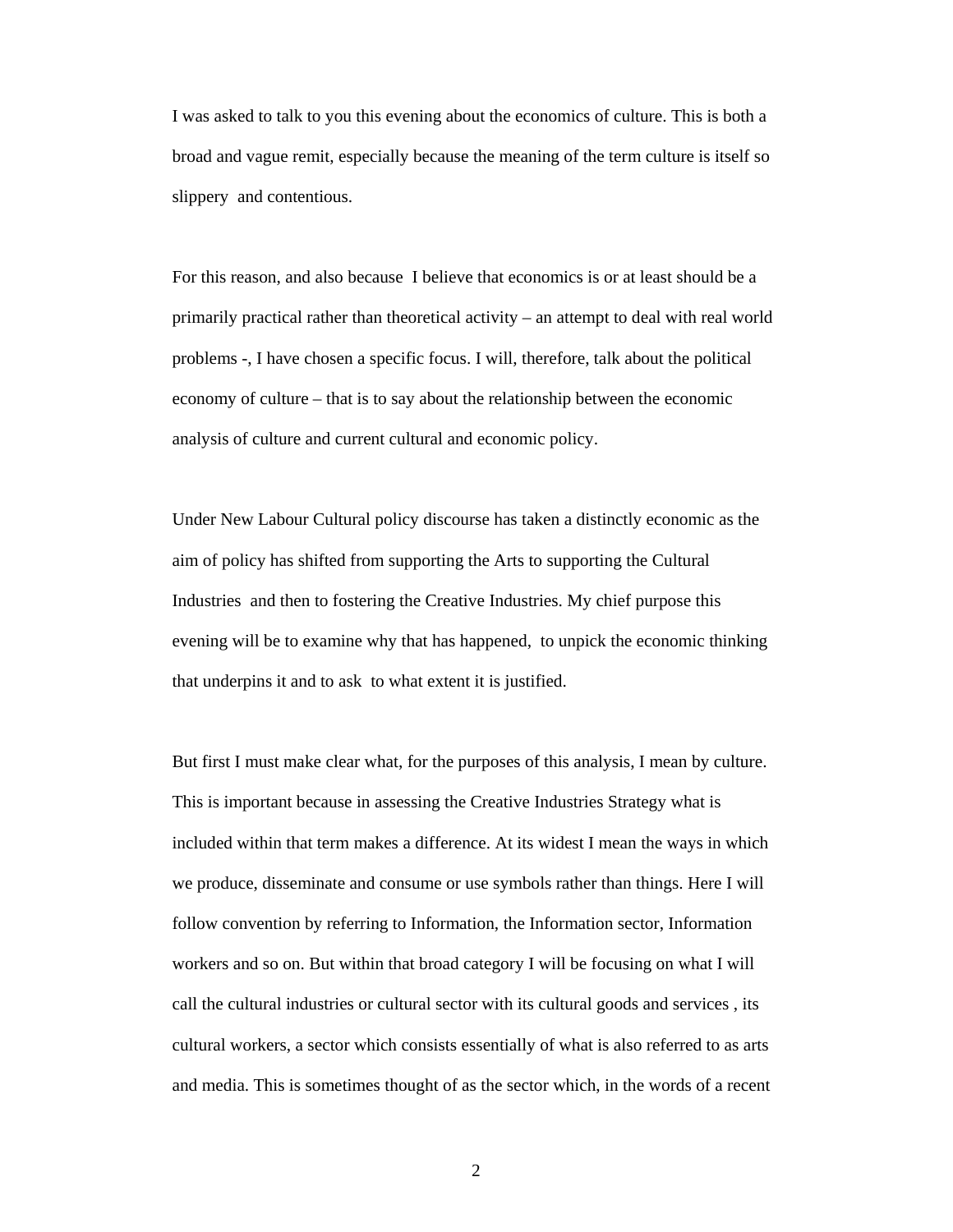I was asked to talk to you this evening about the economics of culture. This is both a broad and vague remit, especially because the meaning of the term culture is itself so slippery and contentious.

For this reason, and also because I believe that economics is or at least should be a primarily practical rather than theoretical activity – an attempt to deal with real world problems -, I have chosen a specific focus. I will, therefore, talk about the political economy of culture – that is to say about the relationship between the economic analysis of culture and current cultural and economic policy.

Under New Labour Cultural policy discourse has taken a distinctly economic as the aim of policy has shifted from supporting the Arts to supporting the Cultural Industries and then to fostering the Creative Industries. My chief purpose this evening will be to examine why that has happened, to unpick the economic thinking that underpins it and to ask to what extent it is justified.

But first I must make clear what, for the purposes of this analysis, I mean by culture. This is important because in assessing the Creative Industries Strategy what is included within that term makes a difference. At its widest I mean the ways in which we produce, disseminate and consume or use symbols rather than things. Here I will follow convention by referring to Information, the Information sector, Information workers and so on. But within that broad category I will be focusing on what I will call the cultural industries or cultural sector with its cultural goods and services , its cultural workers, a sector which consists essentially of what is also referred to as arts and media. This is sometimes thought of as the sector which, in the words of a recent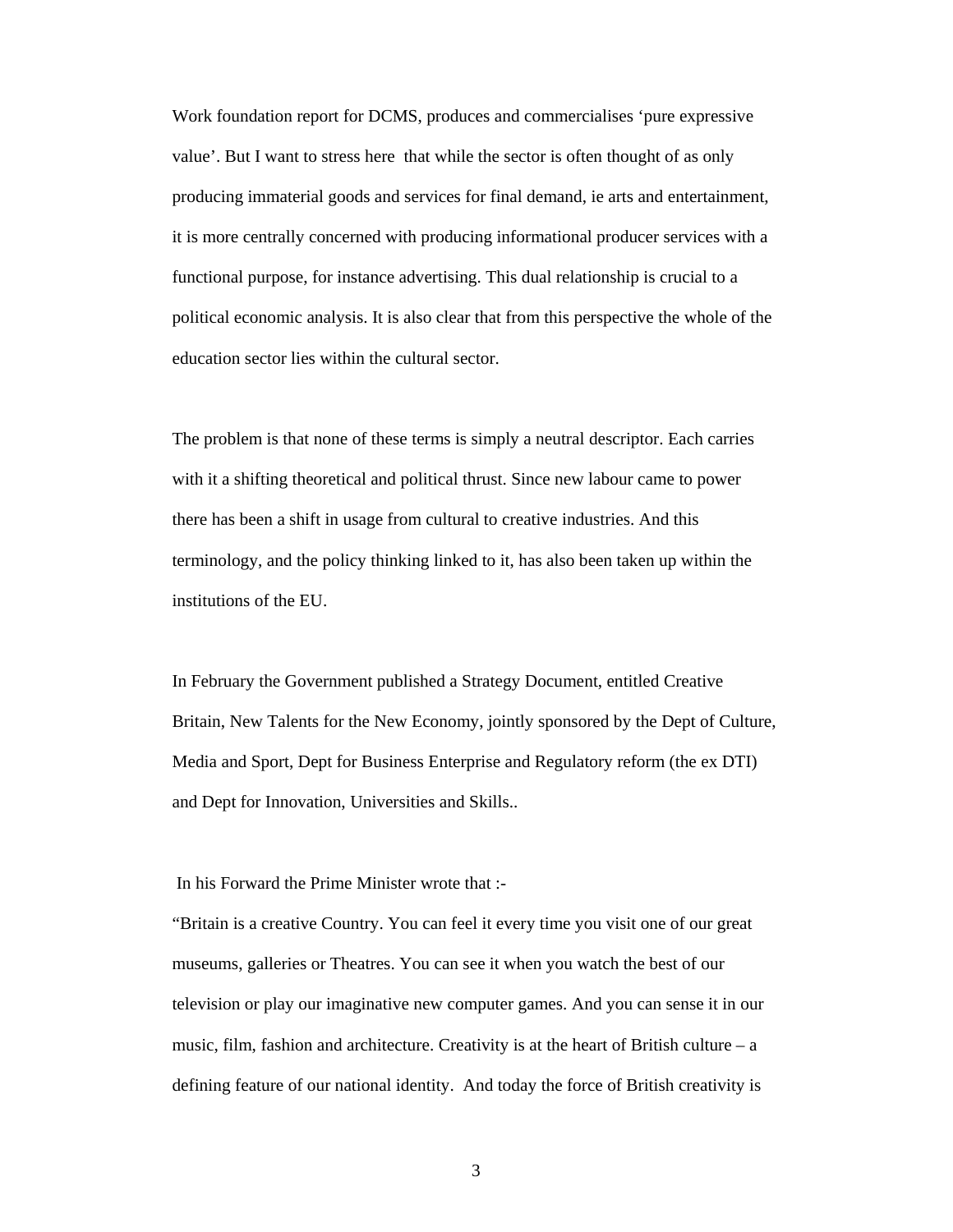Work foundation report for DCMS, produces and commercialises 'pure expressive value'. But I want to stress here that while the sector is often thought of as only producing immaterial goods and services for final demand, ie arts and entertainment, it is more centrally concerned with producing informational producer services with a functional purpose, for instance advertising. This dual relationship is crucial to a political economic analysis. It is also clear that from this perspective the whole of the education sector lies within the cultural sector.

The problem is that none of these terms is simply a neutral descriptor. Each carries with it a shifting theoretical and political thrust. Since new labour came to power there has been a shift in usage from cultural to creative industries. And this terminology, and the policy thinking linked to it, has also been taken up within the institutions of the EU.

In February the Government published a Strategy Document, entitled Creative Britain, New Talents for the New Economy, jointly sponsored by the Dept of Culture, Media and Sport, Dept for Business Enterprise and Regulatory reform (the ex DTI) and Dept for Innovation, Universities and Skills..

In his Forward the Prime Minister wrote that :-

"Britain is a creative Country. You can feel it every time you visit one of our great museums, galleries or Theatres. You can see it when you watch the best of our television or play our imaginative new computer games. And you can sense it in our music, film, fashion and architecture. Creativity is at the heart of British culture –  $a$ defining feature of our national identity. And today the force of British creativity is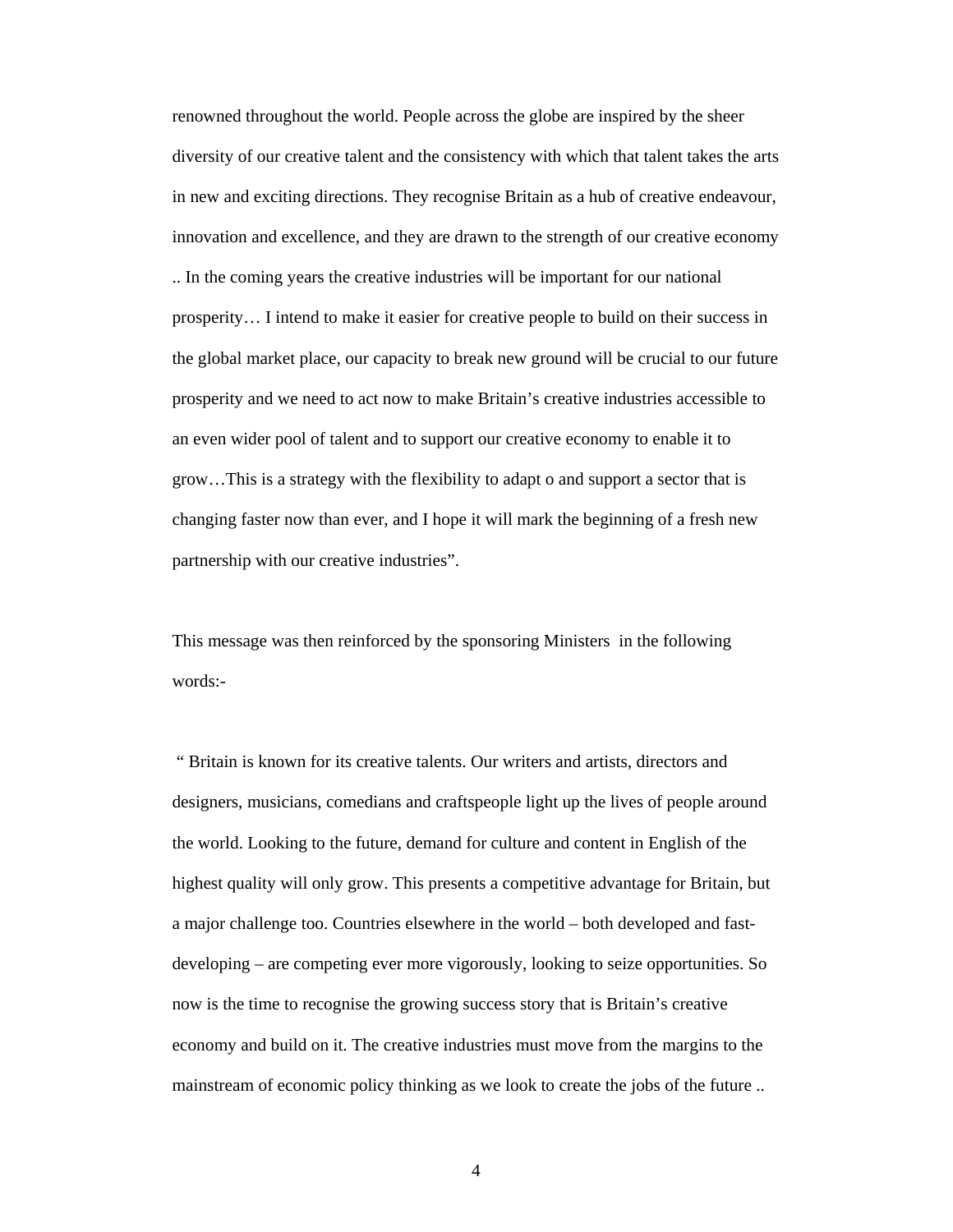renowned throughout the world. People across the globe are inspired by the sheer diversity of our creative talent and the consistency with which that talent takes the arts in new and exciting directions. They recognise Britain as a hub of creative endeavour, innovation and excellence, and they are drawn to the strength of our creative economy .. In the coming years the creative industries will be important for our national prosperity… I intend to make it easier for creative people to build on their success in the global market place, our capacity to break new ground will be crucial to our future prosperity and we need to act now to make Britain's creative industries accessible to an even wider pool of talent and to support our creative economy to enable it to grow…This is a strategy with the flexibility to adapt o and support a sector that is changing faster now than ever, and I hope it will mark the beginning of a fresh new partnership with our creative industries".

This message was then reinforced by the sponsoring Ministers in the following words:-

 " Britain is known for its creative talents. Our writers and artists, directors and designers, musicians, comedians and craftspeople light up the lives of people around the world. Looking to the future, demand for culture and content in English of the highest quality will only grow. This presents a competitive advantage for Britain, but a major challenge too. Countries elsewhere in the world – both developed and fastdeveloping – are competing ever more vigorously, looking to seize opportunities. So now is the time to recognise the growing success story that is Britain's creative economy and build on it. The creative industries must move from the margins to the mainstream of economic policy thinking as we look to create the jobs of the future ..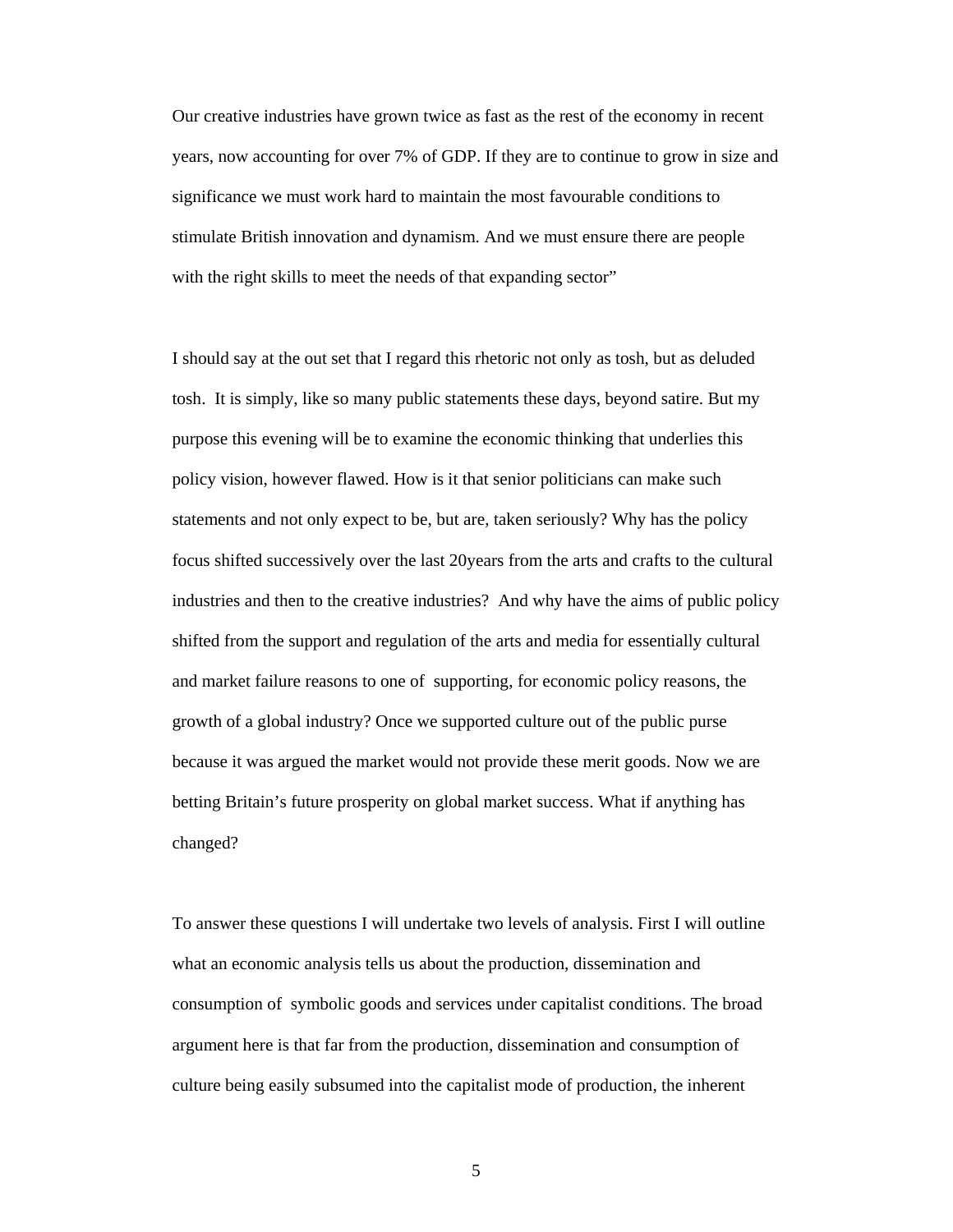Our creative industries have grown twice as fast as the rest of the economy in recent years, now accounting for over 7% of GDP. If they are to continue to grow in size and significance we must work hard to maintain the most favourable conditions to stimulate British innovation and dynamism. And we must ensure there are people with the right skills to meet the needs of that expanding sector"

I should say at the out set that I regard this rhetoric not only as tosh, but as deluded tosh. It is simply, like so many public statements these days, beyond satire. But my purpose this evening will be to examine the economic thinking that underlies this policy vision, however flawed. How is it that senior politicians can make such statements and not only expect to be, but are, taken seriously? Why has the policy focus shifted successively over the last 20years from the arts and crafts to the cultural industries and then to the creative industries? And why have the aims of public policy shifted from the support and regulation of the arts and media for essentially cultural and market failure reasons to one of supporting, for economic policy reasons, the growth of a global industry? Once we supported culture out of the public purse because it was argued the market would not provide these merit goods. Now we are betting Britain's future prosperity on global market success. What if anything has changed?

To answer these questions I will undertake two levels of analysis. First I will outline what an economic analysis tells us about the production, dissemination and consumption of symbolic goods and services under capitalist conditions. The broad argument here is that far from the production, dissemination and consumption of culture being easily subsumed into the capitalist mode of production, the inherent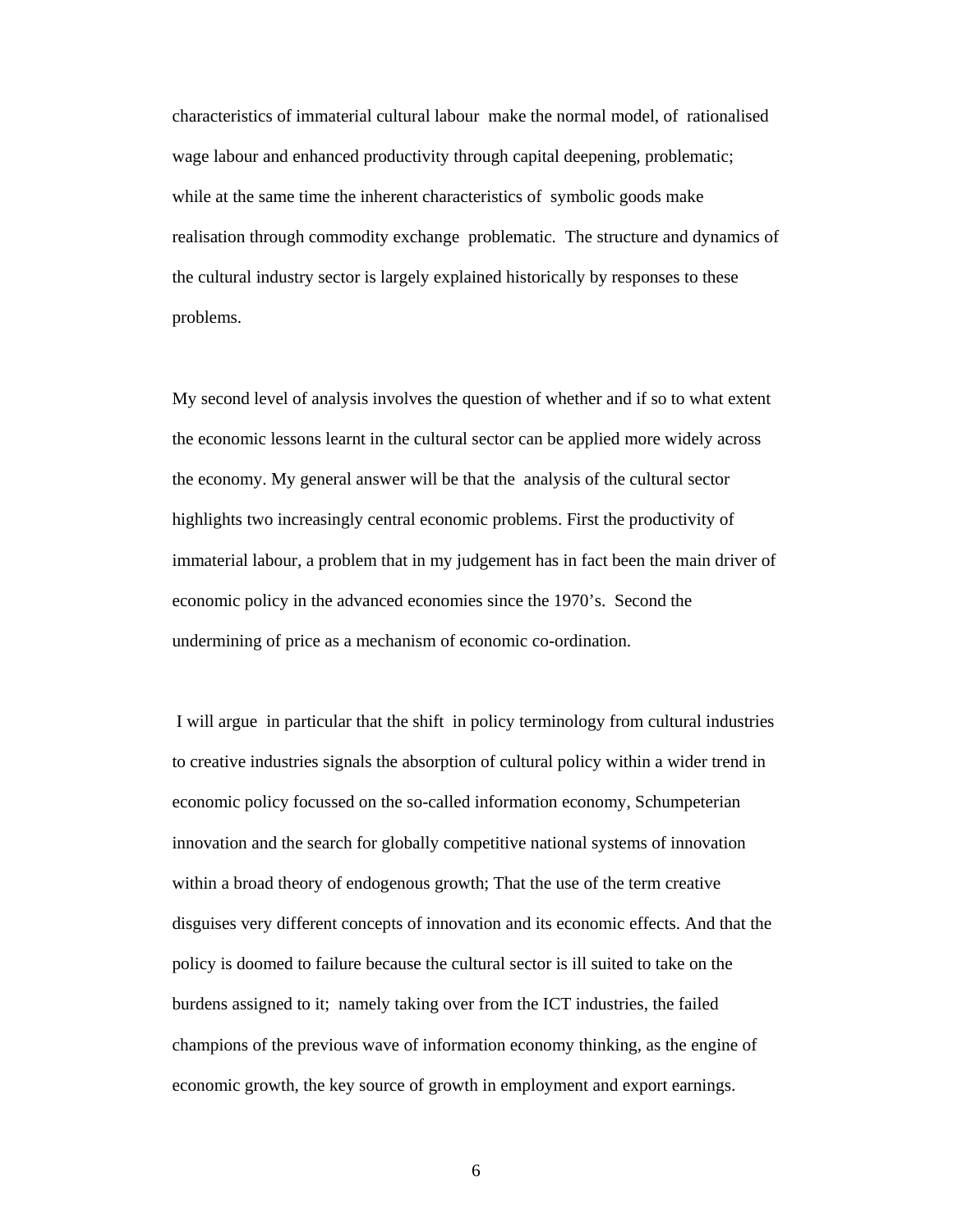characteristics of immaterial cultural labour make the normal model, of rationalised wage labour and enhanced productivity through capital deepening, problematic; while at the same time the inherent characteristics of symbolic goods make realisation through commodity exchange problematic. The structure and dynamics of the cultural industry sector is largely explained historically by responses to these problems.

My second level of analysis involves the question of whether and if so to what extent the economic lessons learnt in the cultural sector can be applied more widely across the economy. My general answer will be that the analysis of the cultural sector highlights two increasingly central economic problems. First the productivity of immaterial labour, a problem that in my judgement has in fact been the main driver of economic policy in the advanced economies since the 1970's. Second the undermining of price as a mechanism of economic co-ordination.

 I will argue in particular that the shift in policy terminology from cultural industries to creative industries signals the absorption of cultural policy within a wider trend in economic policy focussed on the so-called information economy, Schumpeterian innovation and the search for globally competitive national systems of innovation within a broad theory of endogenous growth; That the use of the term creative disguises very different concepts of innovation and its economic effects. And that the policy is doomed to failure because the cultural sector is ill suited to take on the burdens assigned to it; namely taking over from the ICT industries, the failed champions of the previous wave of information economy thinking, as the engine of economic growth, the key source of growth in employment and export earnings.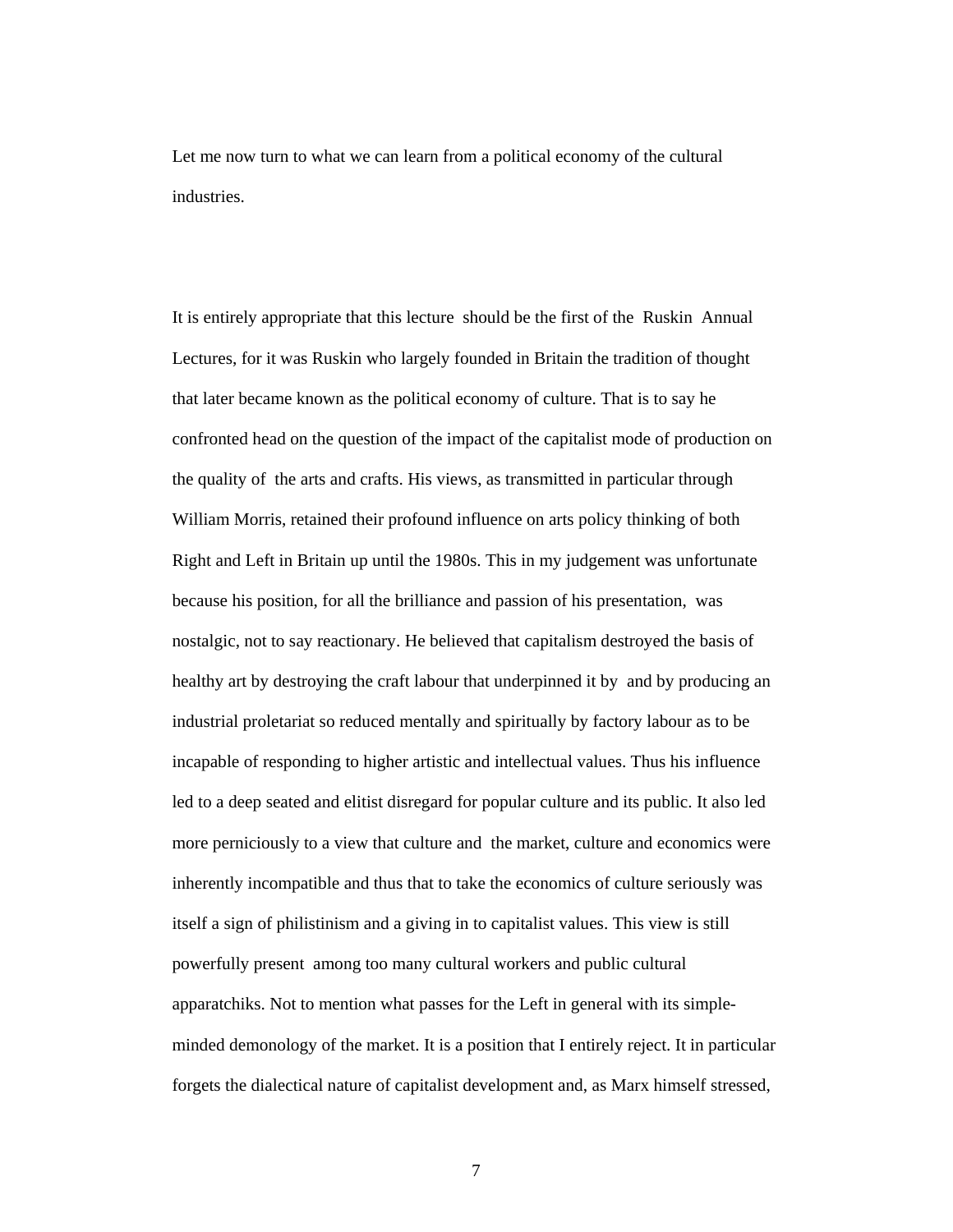Let me now turn to what we can learn from a political economy of the cultural industries.

It is entirely appropriate that this lecture should be the first of the Ruskin Annual Lectures, for it was Ruskin who largely founded in Britain the tradition of thought that later became known as the political economy of culture. That is to say he confronted head on the question of the impact of the capitalist mode of production on the quality of the arts and crafts. His views, as transmitted in particular through William Morris, retained their profound influence on arts policy thinking of both Right and Left in Britain up until the 1980s. This in my judgement was unfortunate because his position, for all the brilliance and passion of his presentation, was nostalgic, not to say reactionary. He believed that capitalism destroyed the basis of healthy art by destroying the craft labour that underpinned it by and by producing an industrial proletariat so reduced mentally and spiritually by factory labour as to be incapable of responding to higher artistic and intellectual values. Thus his influence led to a deep seated and elitist disregard for popular culture and its public. It also led more perniciously to a view that culture and the market, culture and economics were inherently incompatible and thus that to take the economics of culture seriously was itself a sign of philistinism and a giving in to capitalist values. This view is still powerfully present among too many cultural workers and public cultural apparatchiks. Not to mention what passes for the Left in general with its simpleminded demonology of the market. It is a position that I entirely reject. It in particular forgets the dialectical nature of capitalist development and, as Marx himself stressed,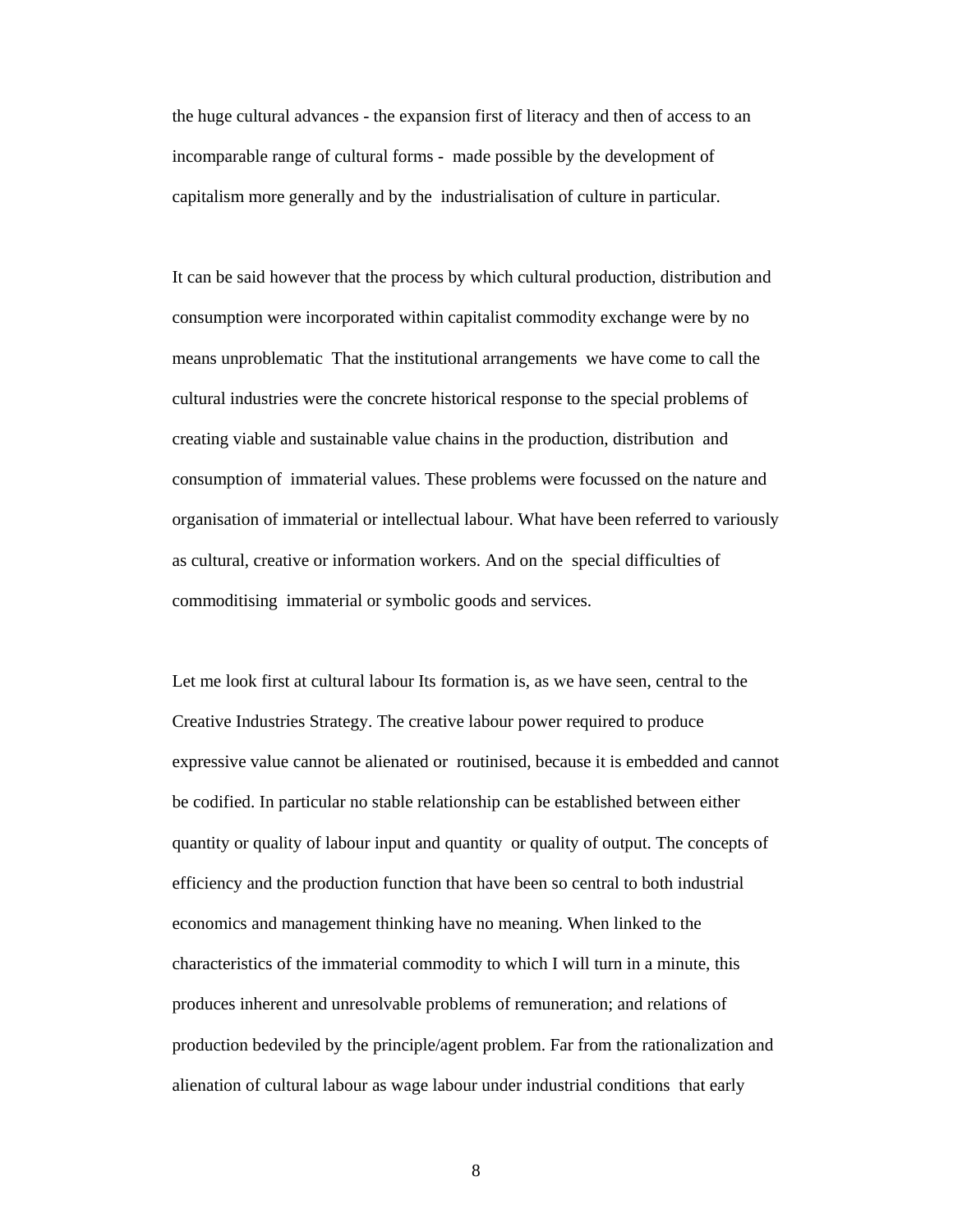the huge cultural advances - the expansion first of literacy and then of access to an incomparable range of cultural forms - made possible by the development of capitalism more generally and by the industrialisation of culture in particular.

It can be said however that the process by which cultural production, distribution and consumption were incorporated within capitalist commodity exchange were by no means unproblematic That the institutional arrangements we have come to call the cultural industries were the concrete historical response to the special problems of creating viable and sustainable value chains in the production, distribution and consumption of immaterial values. These problems were focussed on the nature and organisation of immaterial or intellectual labour. What have been referred to variously as cultural, creative or information workers. And on the special difficulties of commoditising immaterial or symbolic goods and services.

Let me look first at cultural labour Its formation is, as we have seen, central to the Creative Industries Strategy. The creative labour power required to produce expressive value cannot be alienated or routinised, because it is embedded and cannot be codified. In particular no stable relationship can be established between either quantity or quality of labour input and quantity or quality of output. The concepts of efficiency and the production function that have been so central to both industrial economics and management thinking have no meaning. When linked to the characteristics of the immaterial commodity to which I will turn in a minute, this produces inherent and unresolvable problems of remuneration; and relations of production bedeviled by the principle/agent problem. Far from the rationalization and alienation of cultural labour as wage labour under industrial conditions that early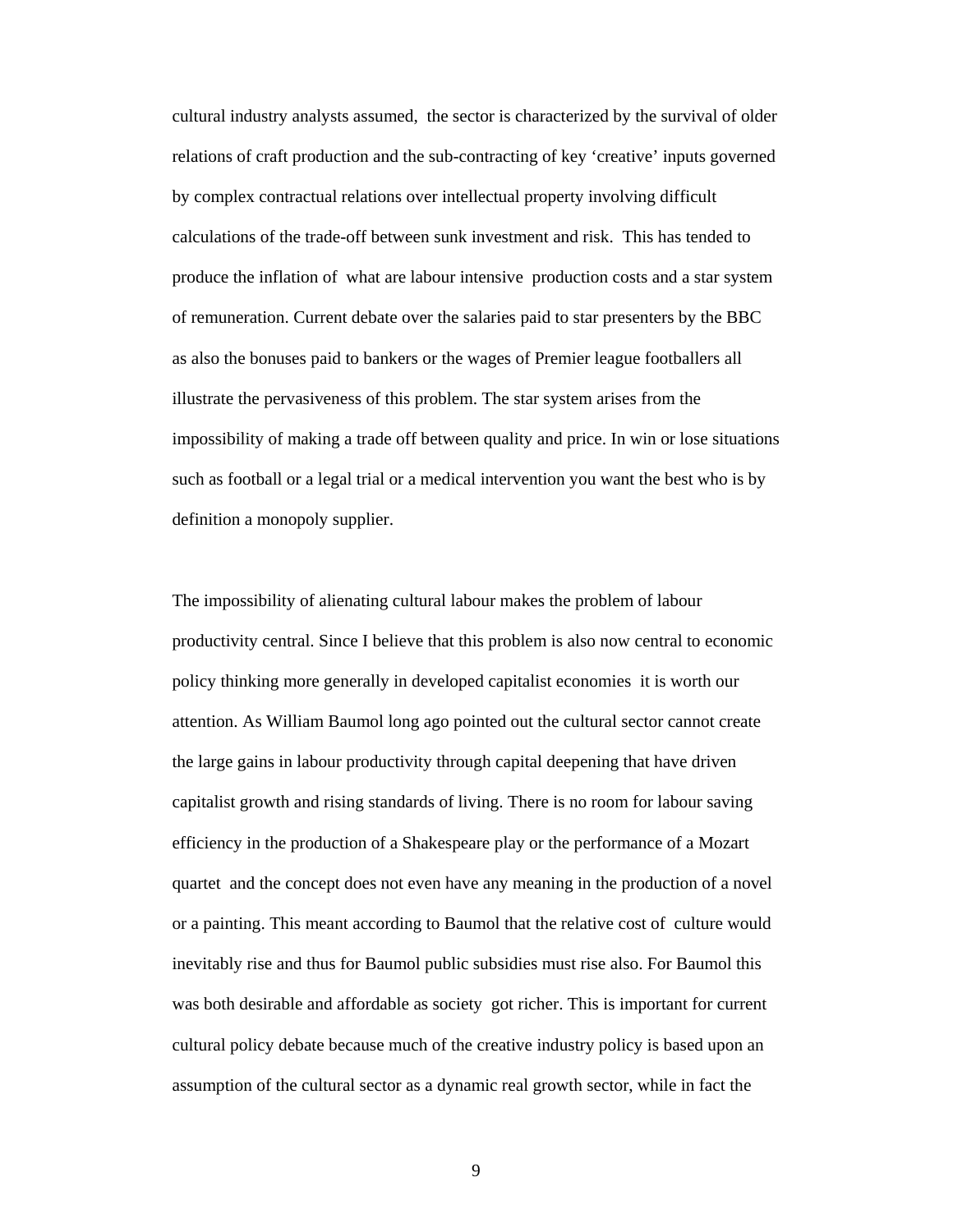cultural industry analysts assumed, the sector is characterized by the survival of older relations of craft production and the sub-contracting of key 'creative' inputs governed by complex contractual relations over intellectual property involving difficult calculations of the trade-off between sunk investment and risk. This has tended to produce the inflation of what are labour intensive production costs and a star system of remuneration. Current debate over the salaries paid to star presenters by the BBC as also the bonuses paid to bankers or the wages of Premier league footballers all illustrate the pervasiveness of this problem. The star system arises from the impossibility of making a trade off between quality and price. In win or lose situations such as football or a legal trial or a medical intervention you want the best who is by definition a monopoly supplier.

The impossibility of alienating cultural labour makes the problem of labour productivity central. Since I believe that this problem is also now central to economic policy thinking more generally in developed capitalist economies it is worth our attention. As William Baumol long ago pointed out the cultural sector cannot create the large gains in labour productivity through capital deepening that have driven capitalist growth and rising standards of living. There is no room for labour saving efficiency in the production of a Shakespeare play or the performance of a Mozart quartet and the concept does not even have any meaning in the production of a novel or a painting. This meant according to Baumol that the relative cost of culture would inevitably rise and thus for Baumol public subsidies must rise also. For Baumol this was both desirable and affordable as society got richer. This is important for current cultural policy debate because much of the creative industry policy is based upon an assumption of the cultural sector as a dynamic real growth sector, while in fact the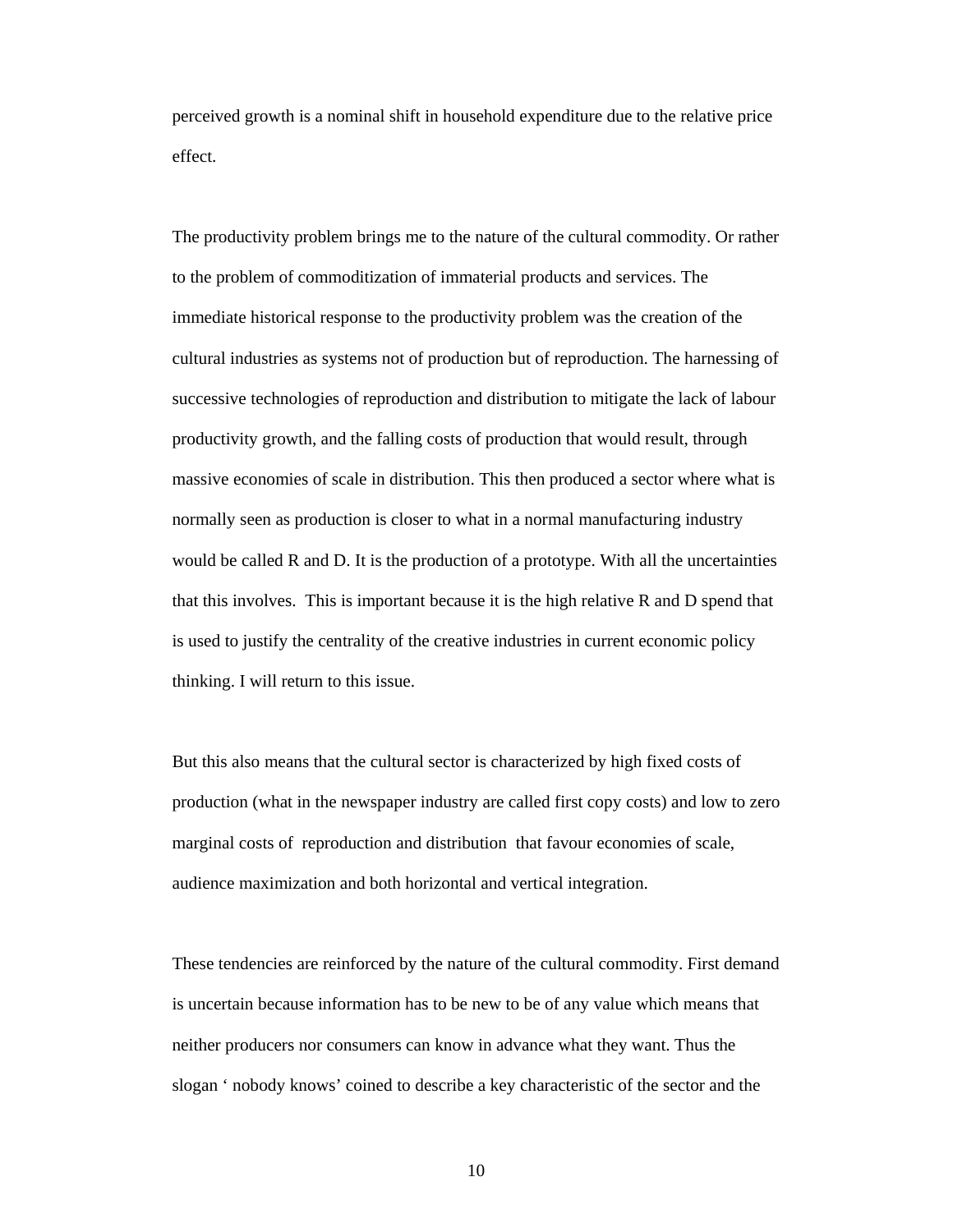perceived growth is a nominal shift in household expenditure due to the relative price effect.

The productivity problem brings me to the nature of the cultural commodity. Or rather to the problem of commoditization of immaterial products and services. The immediate historical response to the productivity problem was the creation of the cultural industries as systems not of production but of reproduction. The harnessing of successive technologies of reproduction and distribution to mitigate the lack of labour productivity growth, and the falling costs of production that would result, through massive economies of scale in distribution. This then produced a sector where what is normally seen as production is closer to what in a normal manufacturing industry would be called R and D. It is the production of a prototype. With all the uncertainties that this involves. This is important because it is the high relative R and D spend that is used to justify the centrality of the creative industries in current economic policy thinking. I will return to this issue.

But this also means that the cultural sector is characterized by high fixed costs of production (what in the newspaper industry are called first copy costs) and low to zero marginal costs of reproduction and distribution that favour economies of scale, audience maximization and both horizontal and vertical integration.

These tendencies are reinforced by the nature of the cultural commodity. First demand is uncertain because information has to be new to be of any value which means that neither producers nor consumers can know in advance what they want. Thus the slogan ' nobody knows' coined to describe a key characteristic of the sector and the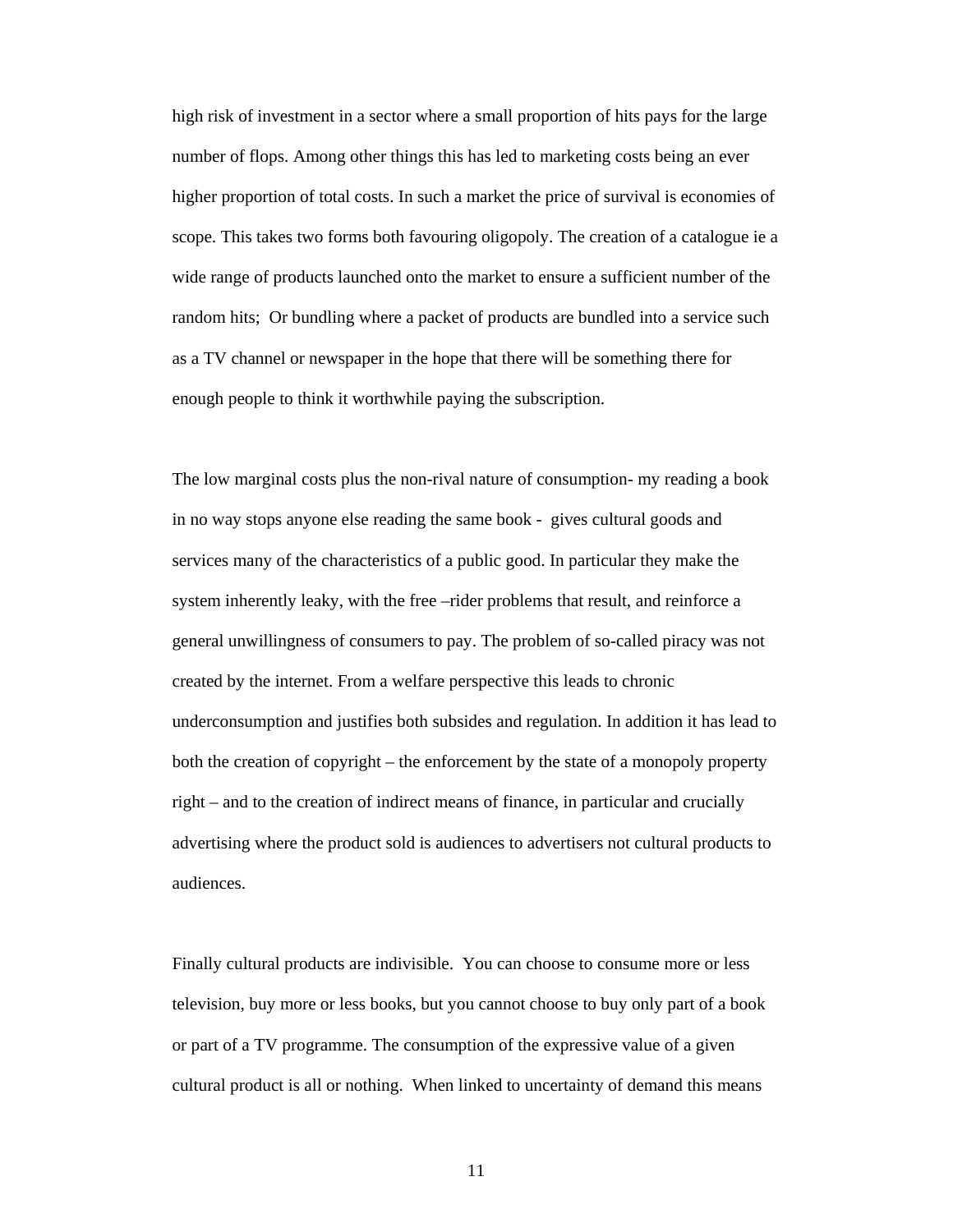high risk of investment in a sector where a small proportion of hits pays for the large number of flops. Among other things this has led to marketing costs being an ever higher proportion of total costs. In such a market the price of survival is economies of scope. This takes two forms both favouring oligopoly. The creation of a catalogue ie a wide range of products launched onto the market to ensure a sufficient number of the random hits; Or bundling where a packet of products are bundled into a service such as a TV channel or newspaper in the hope that there will be something there for enough people to think it worthwhile paying the subscription.

The low marginal costs plus the non-rival nature of consumption- my reading a book in no way stops anyone else reading the same book - gives cultural goods and services many of the characteristics of a public good. In particular they make the system inherently leaky, with the free –rider problems that result, and reinforce a general unwillingness of consumers to pay. The problem of so-called piracy was not created by the internet. From a welfare perspective this leads to chronic underconsumption and justifies both subsides and regulation. In addition it has lead to both the creation of copyright – the enforcement by the state of a monopoly property right – and to the creation of indirect means of finance, in particular and crucially advertising where the product sold is audiences to advertisers not cultural products to audiences.

Finally cultural products are indivisible. You can choose to consume more or less television, buy more or less books, but you cannot choose to buy only part of a book or part of a TV programme. The consumption of the expressive value of a given cultural product is all or nothing. When linked to uncertainty of demand this means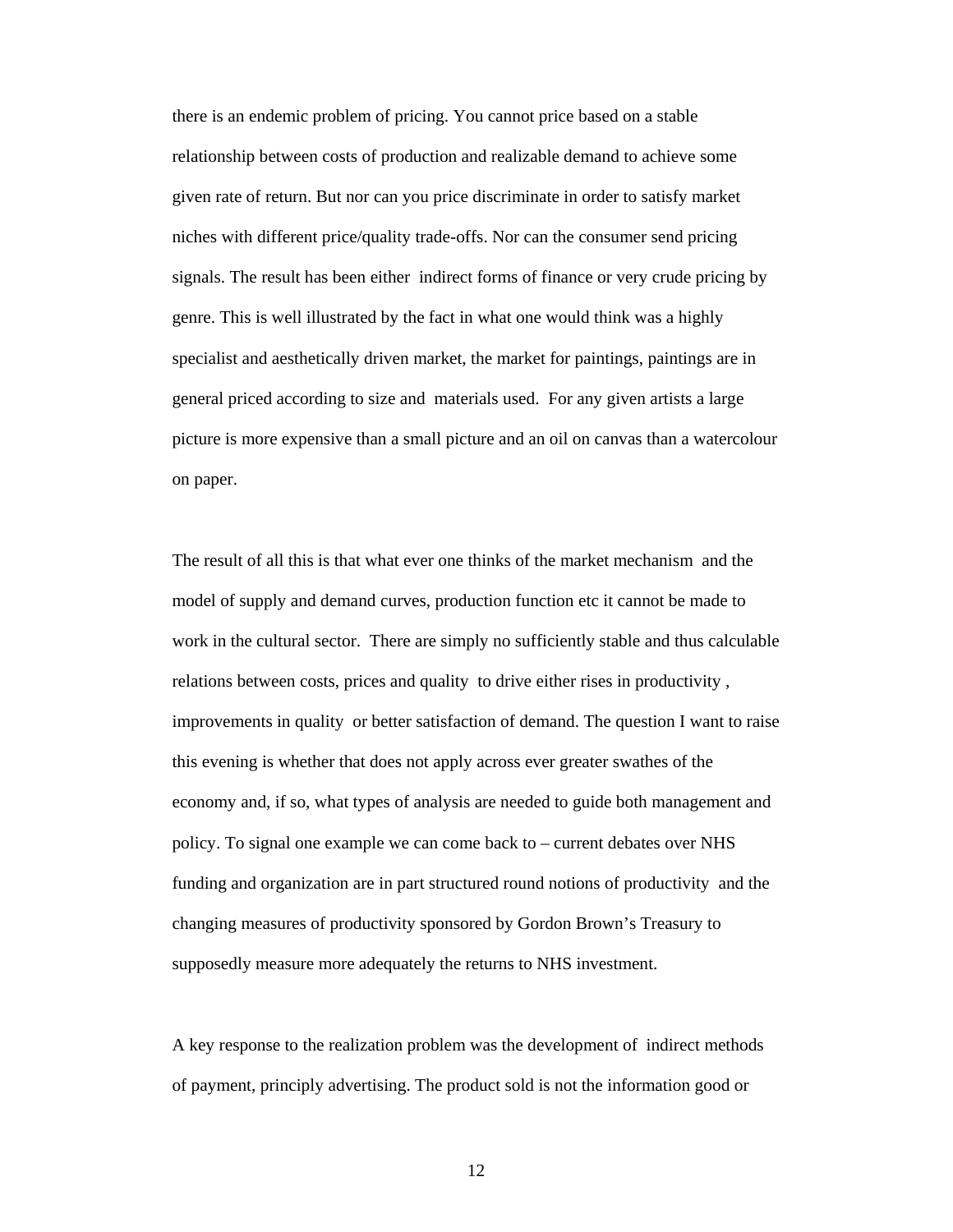there is an endemic problem of pricing. You cannot price based on a stable relationship between costs of production and realizable demand to achieve some given rate of return. But nor can you price discriminate in order to satisfy market niches with different price/quality trade-offs. Nor can the consumer send pricing signals. The result has been either indirect forms of finance or very crude pricing by genre. This is well illustrated by the fact in what one would think was a highly specialist and aesthetically driven market, the market for paintings, paintings are in general priced according to size and materials used. For any given artists a large picture is more expensive than a small picture and an oil on canvas than a watercolour on paper.

The result of all this is that what ever one thinks of the market mechanism and the model of supply and demand curves, production function etc it cannot be made to work in the cultural sector. There are simply no sufficiently stable and thus calculable relations between costs, prices and quality to drive either rises in productivity , improvements in quality or better satisfaction of demand. The question I want to raise this evening is whether that does not apply across ever greater swathes of the economy and, if so, what types of analysis are needed to guide both management and policy. To signal one example we can come back to – current debates over NHS funding and organization are in part structured round notions of productivity and the changing measures of productivity sponsored by Gordon Brown's Treasury to supposedly measure more adequately the returns to NHS investment.

A key response to the realization problem was the development of indirect methods of payment, principly advertising. The product sold is not the information good or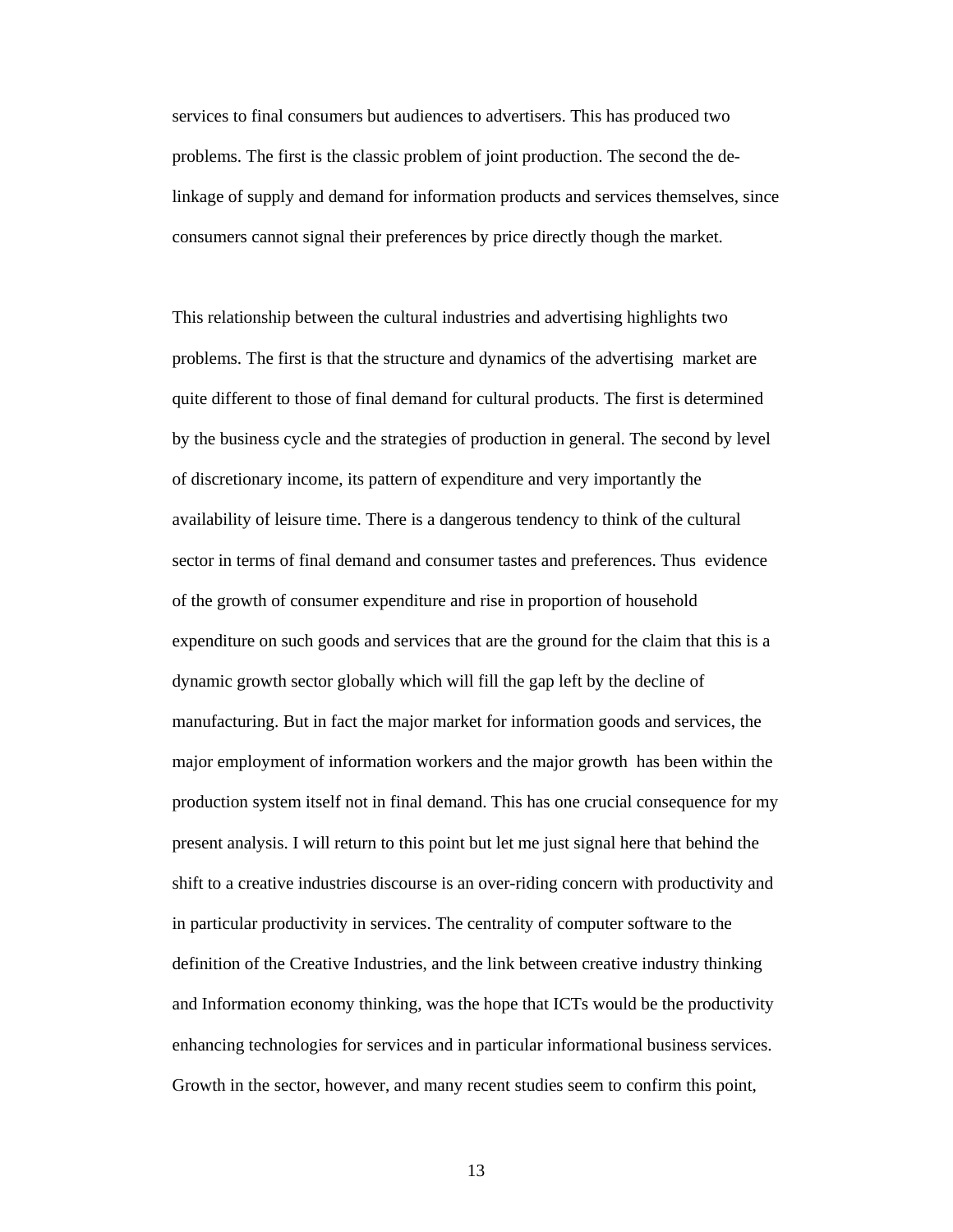services to final consumers but audiences to advertisers. This has produced two problems. The first is the classic problem of joint production. The second the delinkage of supply and demand for information products and services themselves, since consumers cannot signal their preferences by price directly though the market.

This relationship between the cultural industries and advertising highlights two problems. The first is that the structure and dynamics of the advertising market are quite different to those of final demand for cultural products. The first is determined by the business cycle and the strategies of production in general. The second by level of discretionary income, its pattern of expenditure and very importantly the availability of leisure time. There is a dangerous tendency to think of the cultural sector in terms of final demand and consumer tastes and preferences. Thus evidence of the growth of consumer expenditure and rise in proportion of household expenditure on such goods and services that are the ground for the claim that this is a dynamic growth sector globally which will fill the gap left by the decline of manufacturing. But in fact the major market for information goods and services, the major employment of information workers and the major growth has been within the production system itself not in final demand. This has one crucial consequence for my present analysis. I will return to this point but let me just signal here that behind the shift to a creative industries discourse is an over-riding concern with productivity and in particular productivity in services. The centrality of computer software to the definition of the Creative Industries, and the link between creative industry thinking and Information economy thinking, was the hope that ICTs would be the productivity enhancing technologies for services and in particular informational business services. Growth in the sector, however, and many recent studies seem to confirm this point,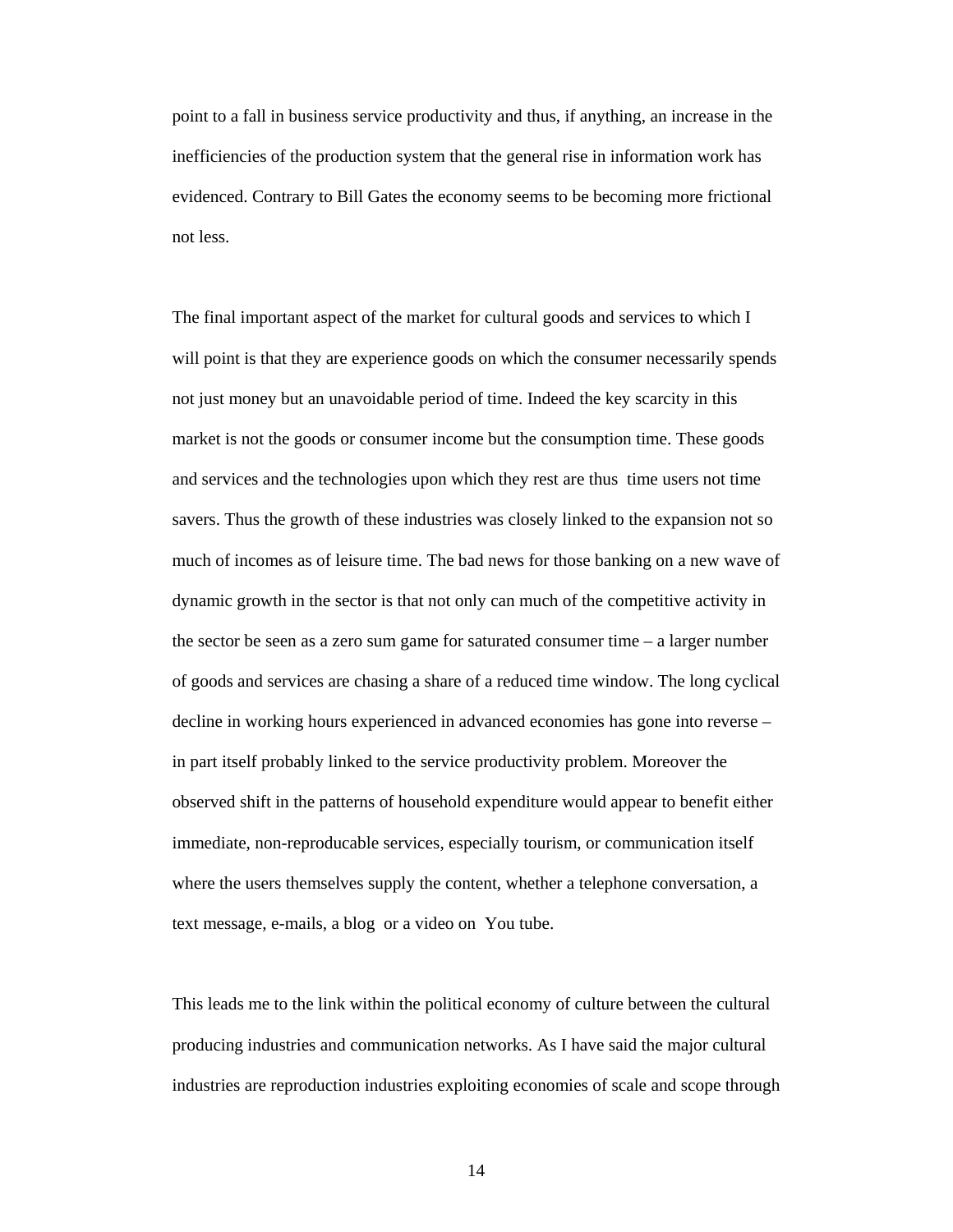point to a fall in business service productivity and thus, if anything, an increase in the inefficiencies of the production system that the general rise in information work has evidenced. Contrary to Bill Gates the economy seems to be becoming more frictional not less.

The final important aspect of the market for cultural goods and services to which I will point is that they are experience goods on which the consumer necessarily spends not just money but an unavoidable period of time. Indeed the key scarcity in this market is not the goods or consumer income but the consumption time. These goods and services and the technologies upon which they rest are thus time users not time savers. Thus the growth of these industries was closely linked to the expansion not so much of incomes as of leisure time. The bad news for those banking on a new wave of dynamic growth in the sector is that not only can much of the competitive activity in the sector be seen as a zero sum game for saturated consumer time – a larger number of goods and services are chasing a share of a reduced time window. The long cyclical decline in working hours experienced in advanced economies has gone into reverse – in part itself probably linked to the service productivity problem. Moreover the observed shift in the patterns of household expenditure would appear to benefit either immediate, non-reproducable services, especially tourism, or communication itself where the users themselves supply the content, whether a telephone conversation, a text message, e-mails, a blog or a video on You tube.

This leads me to the link within the political economy of culture between the cultural producing industries and communication networks. As I have said the major cultural industries are reproduction industries exploiting economies of scale and scope through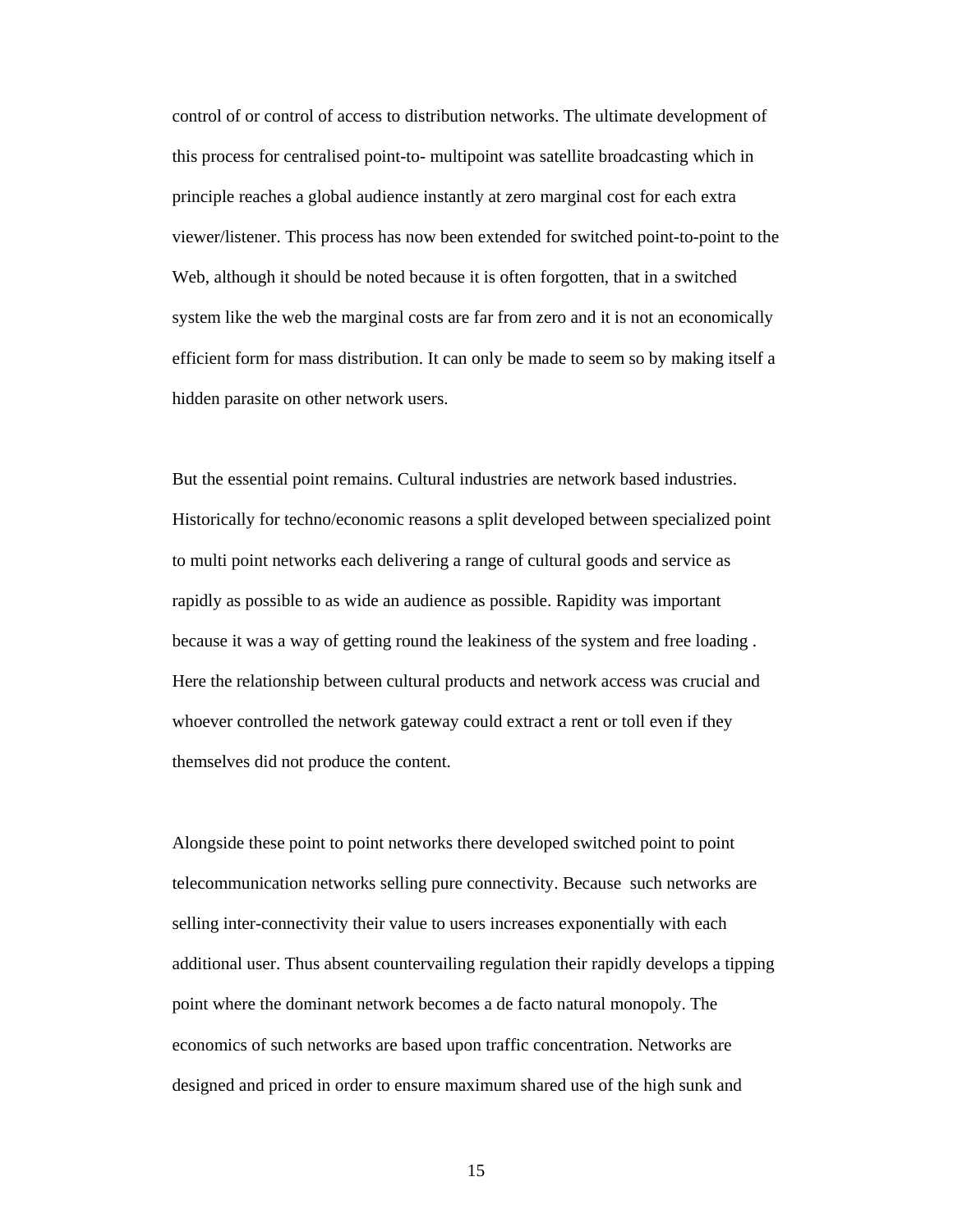control of or control of access to distribution networks. The ultimate development of this process for centralised point-to- multipoint was satellite broadcasting which in principle reaches a global audience instantly at zero marginal cost for each extra viewer/listener. This process has now been extended for switched point-to-point to the Web, although it should be noted because it is often forgotten, that in a switched system like the web the marginal costs are far from zero and it is not an economically efficient form for mass distribution. It can only be made to seem so by making itself a hidden parasite on other network users.

But the essential point remains. Cultural industries are network based industries. Historically for techno/economic reasons a split developed between specialized point to multi point networks each delivering a range of cultural goods and service as rapidly as possible to as wide an audience as possible. Rapidity was important because it was a way of getting round the leakiness of the system and free loading . Here the relationship between cultural products and network access was crucial and whoever controlled the network gateway could extract a rent or toll even if they themselves did not produce the content.

Alongside these point to point networks there developed switched point to point telecommunication networks selling pure connectivity. Because such networks are selling inter-connectivity their value to users increases exponentially with each additional user. Thus absent countervailing regulation their rapidly develops a tipping point where the dominant network becomes a de facto natural monopoly. The economics of such networks are based upon traffic concentration. Networks are designed and priced in order to ensure maximum shared use of the high sunk and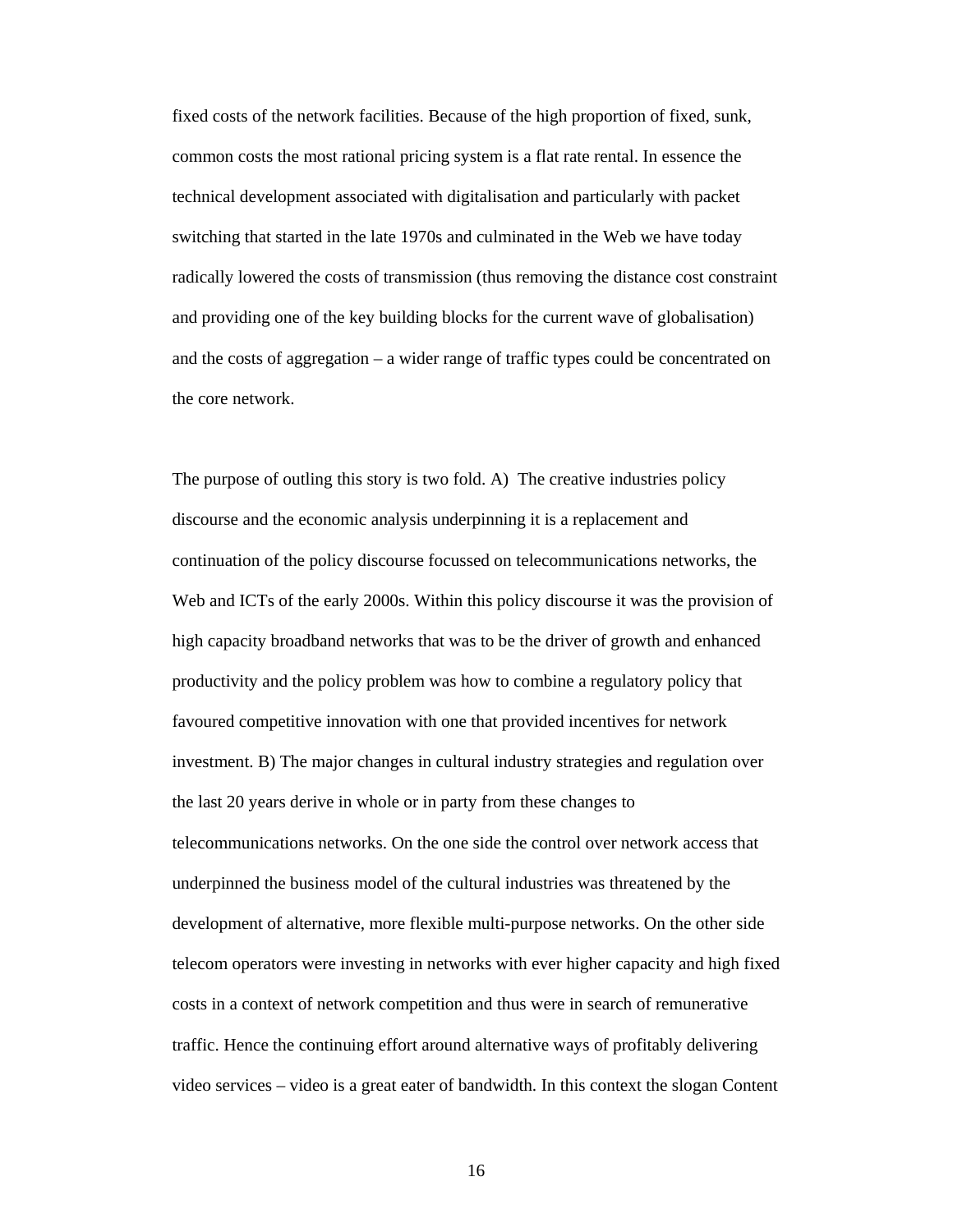fixed costs of the network facilities. Because of the high proportion of fixed, sunk, common costs the most rational pricing system is a flat rate rental. In essence the technical development associated with digitalisation and particularly with packet switching that started in the late 1970s and culminated in the Web we have today radically lowered the costs of transmission (thus removing the distance cost constraint and providing one of the key building blocks for the current wave of globalisation) and the costs of aggregation – a wider range of traffic types could be concentrated on the core network.

The purpose of outling this story is two fold. A) The creative industries policy discourse and the economic analysis underpinning it is a replacement and continuation of the policy discourse focussed on telecommunications networks, the Web and ICTs of the early 2000s. Within this policy discourse it was the provision of high capacity broadband networks that was to be the driver of growth and enhanced productivity and the policy problem was how to combine a regulatory policy that favoured competitive innovation with one that provided incentives for network investment. B) The major changes in cultural industry strategies and regulation over the last 20 years derive in whole or in party from these changes to telecommunications networks. On the one side the control over network access that underpinned the business model of the cultural industries was threatened by the development of alternative, more flexible multi-purpose networks. On the other side telecom operators were investing in networks with ever higher capacity and high fixed costs in a context of network competition and thus were in search of remunerative traffic. Hence the continuing effort around alternative ways of profitably delivering video services – video is a great eater of bandwidth. In this context the slogan Content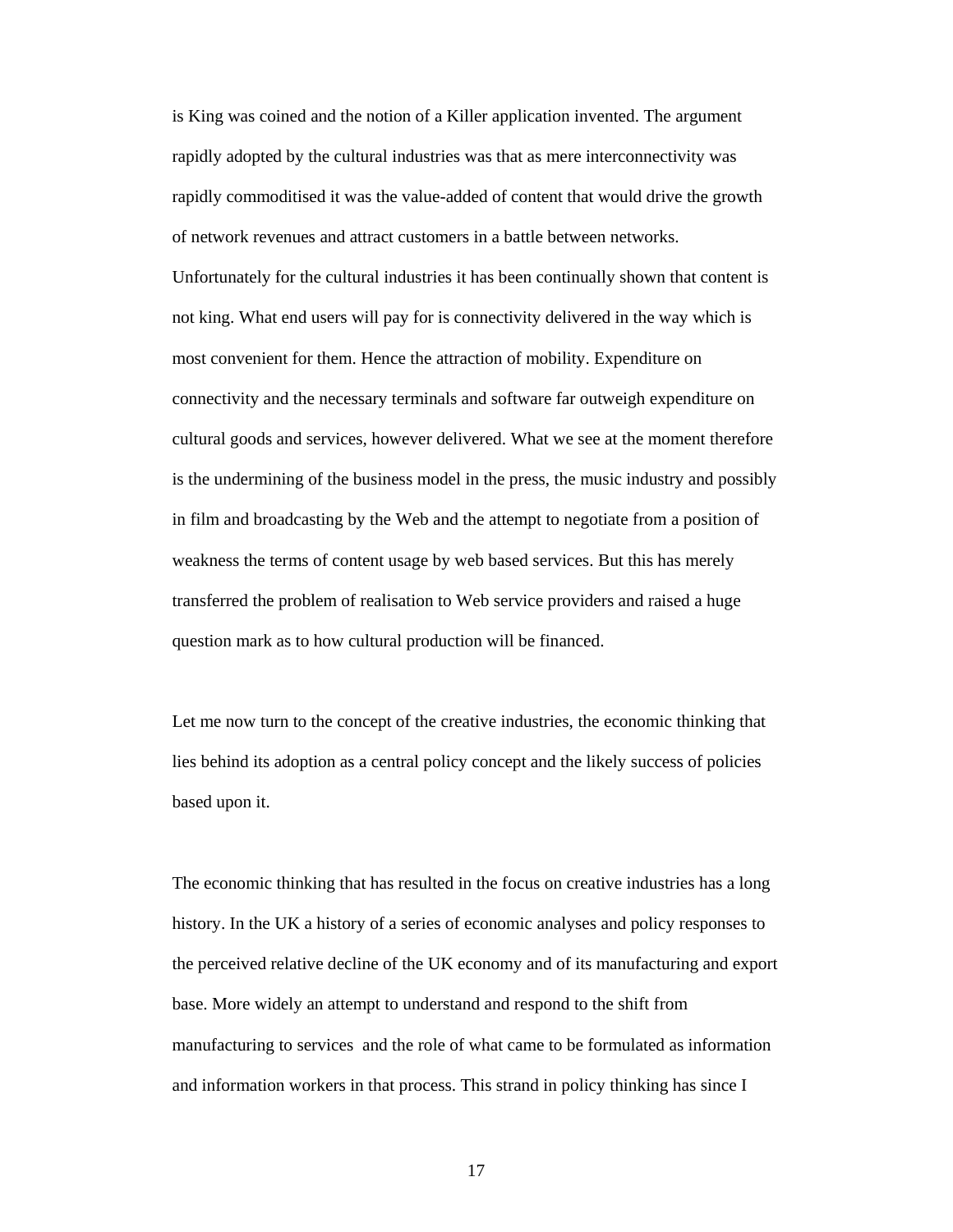is King was coined and the notion of a Killer application invented. The argument rapidly adopted by the cultural industries was that as mere interconnectivity was rapidly commoditised it was the value-added of content that would drive the growth of network revenues and attract customers in a battle between networks. Unfortunately for the cultural industries it has been continually shown that content is not king. What end users will pay for is connectivity delivered in the way which is most convenient for them. Hence the attraction of mobility. Expenditure on connectivity and the necessary terminals and software far outweigh expenditure on cultural goods and services, however delivered. What we see at the moment therefore is the undermining of the business model in the press, the music industry and possibly in film and broadcasting by the Web and the attempt to negotiate from a position of weakness the terms of content usage by web based services. But this has merely transferred the problem of realisation to Web service providers and raised a huge question mark as to how cultural production will be financed.

Let me now turn to the concept of the creative industries, the economic thinking that lies behind its adoption as a central policy concept and the likely success of policies based upon it.

The economic thinking that has resulted in the focus on creative industries has a long history. In the UK a history of a series of economic analyses and policy responses to the perceived relative decline of the UK economy and of its manufacturing and export base. More widely an attempt to understand and respond to the shift from manufacturing to services and the role of what came to be formulated as information and information workers in that process. This strand in policy thinking has since I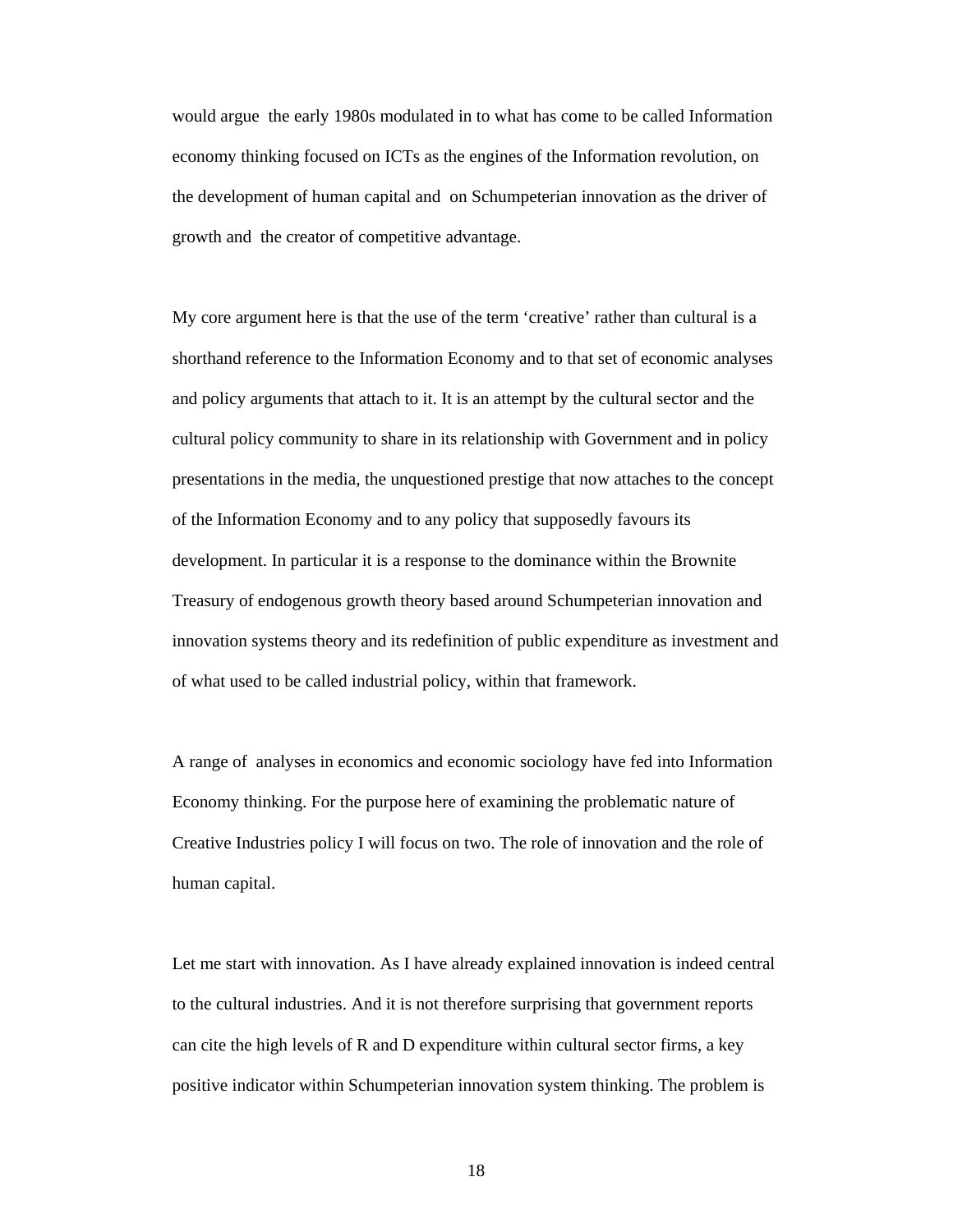would argue the early 1980s modulated in to what has come to be called Information economy thinking focused on ICTs as the engines of the Information revolution, on the development of human capital and on Schumpeterian innovation as the driver of growth and the creator of competitive advantage.

My core argument here is that the use of the term 'creative' rather than cultural is a shorthand reference to the Information Economy and to that set of economic analyses and policy arguments that attach to it. It is an attempt by the cultural sector and the cultural policy community to share in its relationship with Government and in policy presentations in the media, the unquestioned prestige that now attaches to the concept of the Information Economy and to any policy that supposedly favours its development. In particular it is a response to the dominance within the Brownite Treasury of endogenous growth theory based around Schumpeterian innovation and innovation systems theory and its redefinition of public expenditure as investment and of what used to be called industrial policy, within that framework.

A range of analyses in economics and economic sociology have fed into Information Economy thinking. For the purpose here of examining the problematic nature of Creative Industries policy I will focus on two. The role of innovation and the role of human capital.

Let me start with innovation. As I have already explained innovation is indeed central to the cultural industries. And it is not therefore surprising that government reports can cite the high levels of R and D expenditure within cultural sector firms, a key positive indicator within Schumpeterian innovation system thinking. The problem is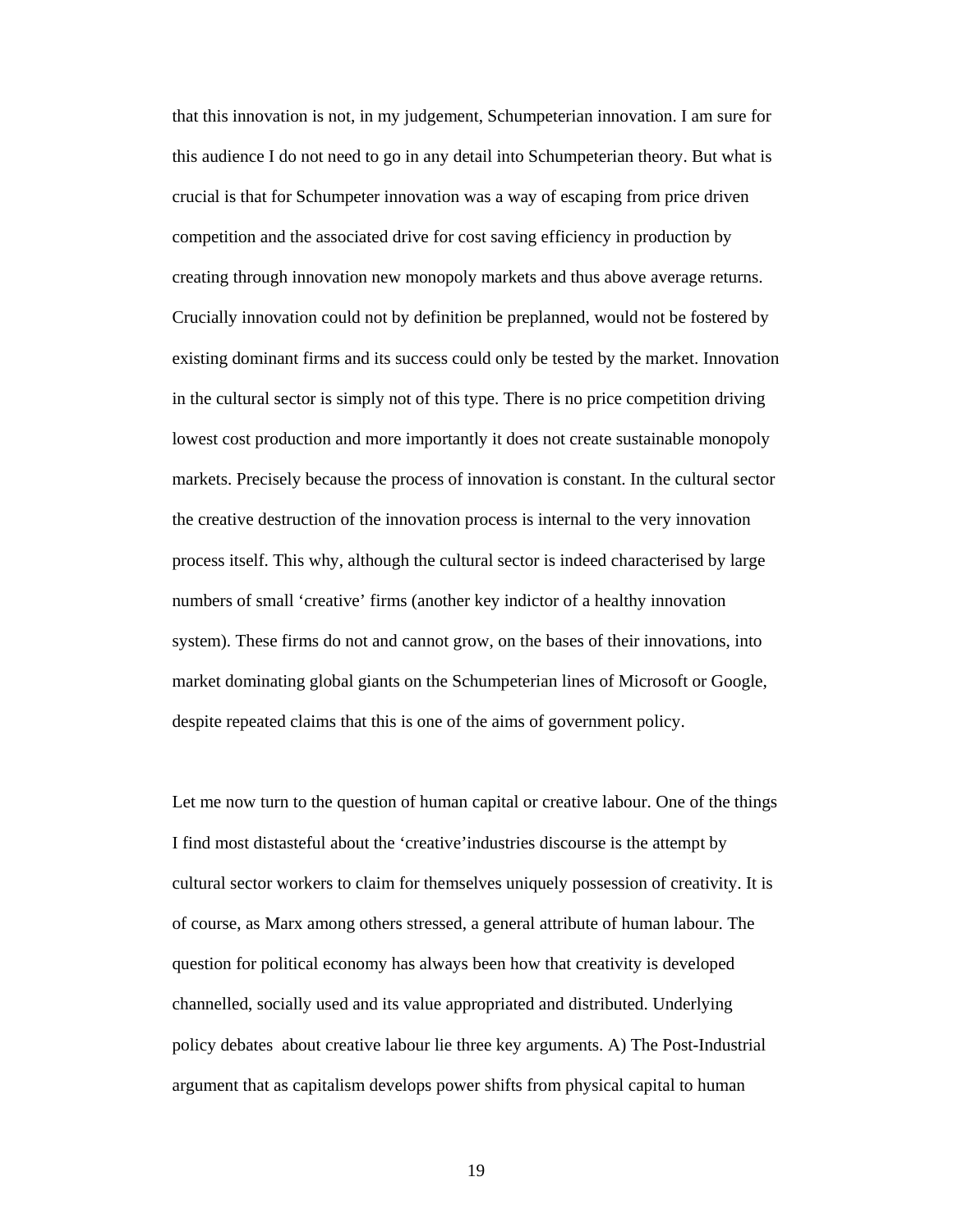that this innovation is not, in my judgement, Schumpeterian innovation. I am sure for this audience I do not need to go in any detail into Schumpeterian theory. But what is crucial is that for Schumpeter innovation was a way of escaping from price driven competition and the associated drive for cost saving efficiency in production by creating through innovation new monopoly markets and thus above average returns. Crucially innovation could not by definition be preplanned, would not be fostered by existing dominant firms and its success could only be tested by the market. Innovation in the cultural sector is simply not of this type. There is no price competition driving lowest cost production and more importantly it does not create sustainable monopoly markets. Precisely because the process of innovation is constant. In the cultural sector the creative destruction of the innovation process is internal to the very innovation process itself. This why, although the cultural sector is indeed characterised by large numbers of small 'creative' firms (another key indictor of a healthy innovation system). These firms do not and cannot grow, on the bases of their innovations, into market dominating global giants on the Schumpeterian lines of Microsoft or Google, despite repeated claims that this is one of the aims of government policy.

Let me now turn to the question of human capital or creative labour. One of the things I find most distasteful about the 'creative'industries discourse is the attempt by cultural sector workers to claim for themselves uniquely possession of creativity. It is of course, as Marx among others stressed, a general attribute of human labour. The question for political economy has always been how that creativity is developed channelled, socially used and its value appropriated and distributed. Underlying policy debates about creative labour lie three key arguments. A) The Post-Industrial argument that as capitalism develops power shifts from physical capital to human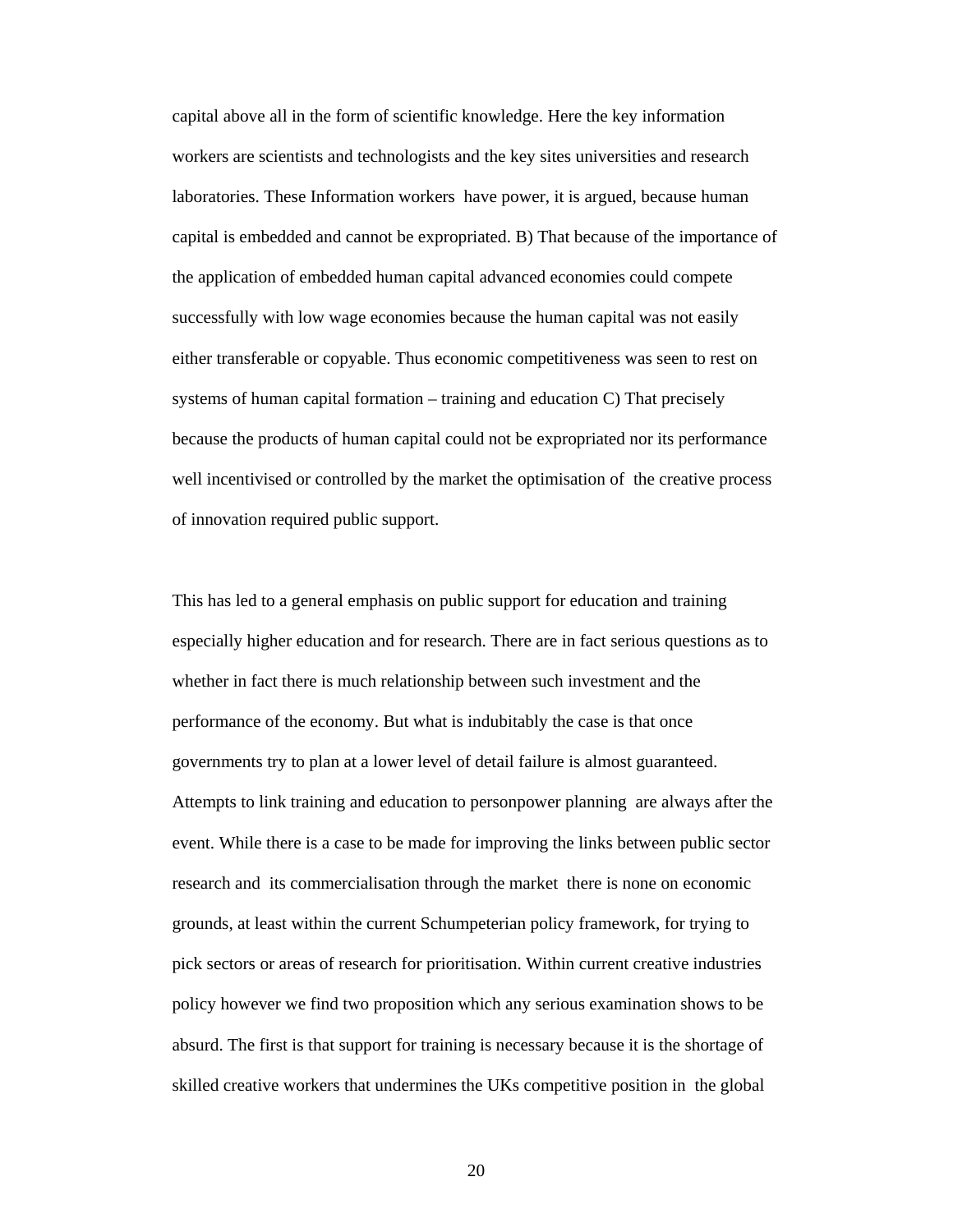capital above all in the form of scientific knowledge. Here the key information workers are scientists and technologists and the key sites universities and research laboratories. These Information workers have power, it is argued, because human capital is embedded and cannot be expropriated. B) That because of the importance of the application of embedded human capital advanced economies could compete successfully with low wage economies because the human capital was not easily either transferable or copyable. Thus economic competitiveness was seen to rest on systems of human capital formation – training and education C) That precisely because the products of human capital could not be expropriated nor its performance well incentivised or controlled by the market the optimisation of the creative process of innovation required public support.

This has led to a general emphasis on public support for education and training especially higher education and for research. There are in fact serious questions as to whether in fact there is much relationship between such investment and the performance of the economy. But what is indubitably the case is that once governments try to plan at a lower level of detail failure is almost guaranteed. Attempts to link training and education to personpower planning are always after the event. While there is a case to be made for improving the links between public sector research and its commercialisation through the market there is none on economic grounds, at least within the current Schumpeterian policy framework, for trying to pick sectors or areas of research for prioritisation. Within current creative industries policy however we find two proposition which any serious examination shows to be absurd. The first is that support for training is necessary because it is the shortage of skilled creative workers that undermines the UKs competitive position in the global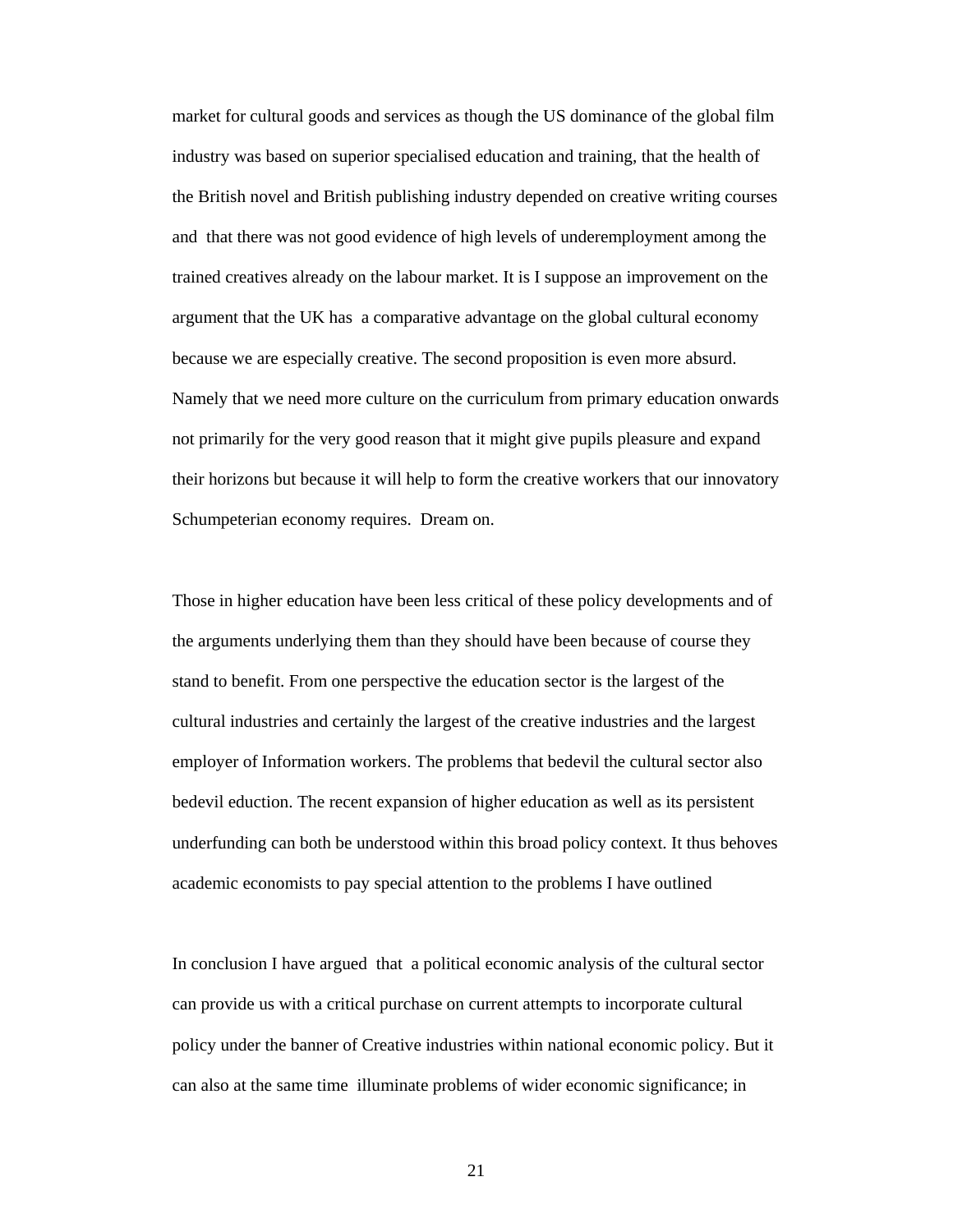market for cultural goods and services as though the US dominance of the global film industry was based on superior specialised education and training, that the health of the British novel and British publishing industry depended on creative writing courses and that there was not good evidence of high levels of underemployment among the trained creatives already on the labour market. It is I suppose an improvement on the argument that the UK has a comparative advantage on the global cultural economy because we are especially creative. The second proposition is even more absurd. Namely that we need more culture on the curriculum from primary education onwards not primarily for the very good reason that it might give pupils pleasure and expand their horizons but because it will help to form the creative workers that our innovatory Schumpeterian economy requires. Dream on.

Those in higher education have been less critical of these policy developments and of the arguments underlying them than they should have been because of course they stand to benefit. From one perspective the education sector is the largest of the cultural industries and certainly the largest of the creative industries and the largest employer of Information workers. The problems that bedevil the cultural sector also bedevil eduction. The recent expansion of higher education as well as its persistent underfunding can both be understood within this broad policy context. It thus behoves academic economists to pay special attention to the problems I have outlined

In conclusion I have argued that a political economic analysis of the cultural sector can provide us with a critical purchase on current attempts to incorporate cultural policy under the banner of Creative industries within national economic policy. But it can also at the same time illuminate problems of wider economic significance; in